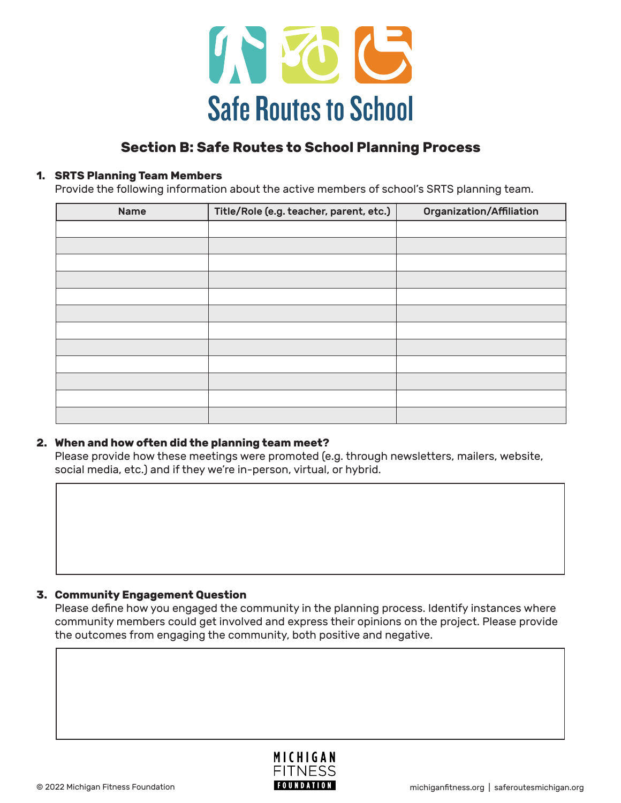

# **Section B: Safe Routes to School Planning Process**

### **1. SRTS Planning Team Members**

Provide the following information about the active members of school's SRTS planning team.

| <b>Name</b> | Title/Role (e.g. teacher, parent, etc.) | Organization/Affiliation |
|-------------|-----------------------------------------|--------------------------|
|             |                                         |                          |
|             |                                         |                          |
|             |                                         |                          |
|             |                                         |                          |
|             |                                         |                          |
|             |                                         |                          |
|             |                                         |                          |
|             |                                         |                          |
|             |                                         |                          |
|             |                                         |                          |
|             |                                         |                          |
|             |                                         |                          |

### **2. When and how often did the planning team meet?**

Please provide how these meetings were promoted (e.g. through newsletters, mailers, website, social media, etc.) and if they we're in-person, virtual, or hybrid.

### **3. Community Engagement Question**

Please define how you engaged the community in the planning process. Identify instances where community members could get involved and express their opinions on the project. Please provide the outcomes from engaging the community, both positive and negative.

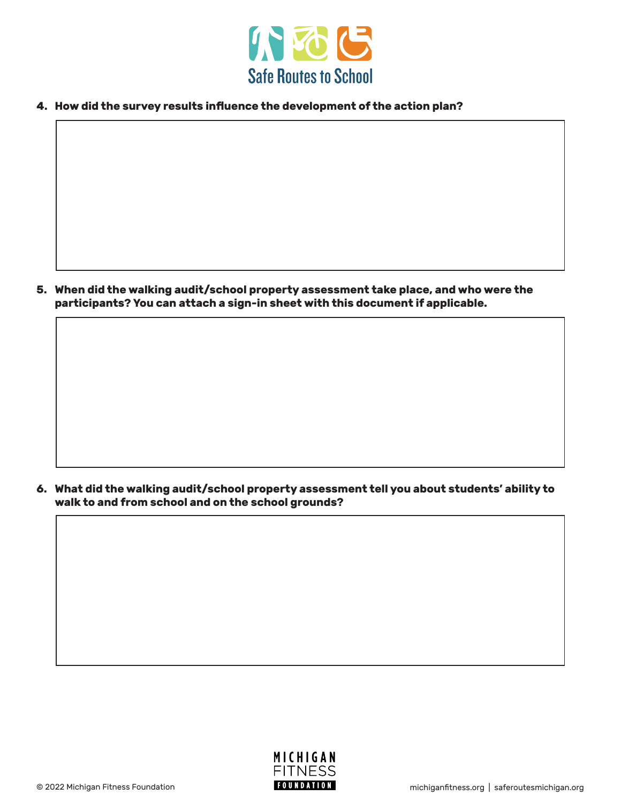

**4. How did the survey results influence the development of the action plan?**

**5. When did the walking audit/school property assessment take place, and who were the participants? You can attach a sign-in sheet with this document if applicable.**

**6. What did the walking audit/school property assessment tell you about students' ability to walk to and from school and on the school grounds?**